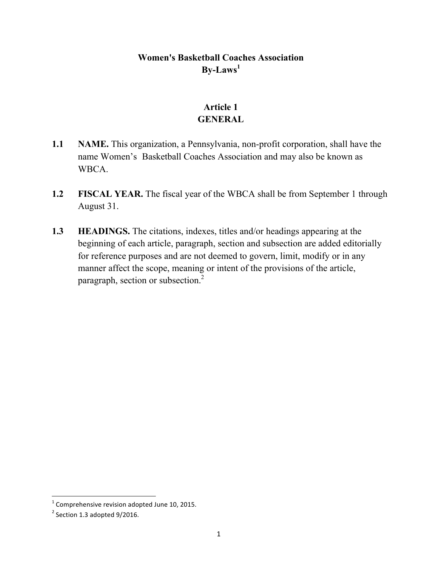### **Women's Basketball Coaches Association By-Laws<sup>1</sup>**

# **Article 1 GENERAL**

- **1.1 NAME.** This organization, a Pennsylvania, non-profit corporation, shall have the name Women's Basketball Coaches Association and may also be known as WBCA.
- **1.2 FISCAL YEAR.** The fiscal year of the WBCA shall be from September 1 through August 31.
- **1.3 HEADINGS.** The citations, indexes, titles and/or headings appearing at the beginning of each article, paragraph, section and subsection are added editorially for reference purposes and are not deemed to govern, limit, modify or in any manner affect the scope, meaning or intent of the provisions of the article, paragraph, section or subsection.<sup>2</sup>

 $^1$  Comprehensive revision adopted June 10, 2015.

 $2$  Section 1.3 adopted 9/2016.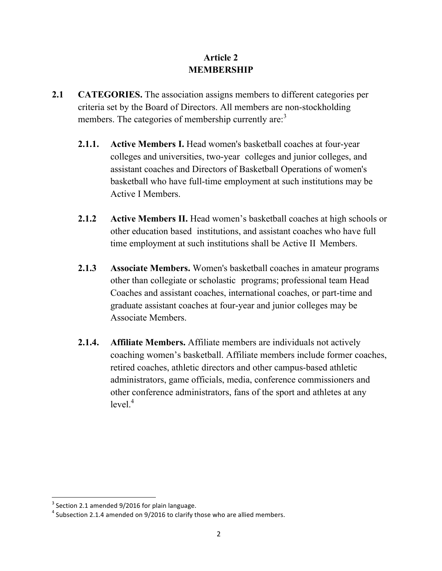## **Article 2 MEMBERSHIP**

- **2.1 CATEGORIES.** The association assigns members to different categories per criteria set by the Board of Directors. All members are non-stockholding members. The categories of membership currently are:<sup>3</sup>
	- **2.1.1. Active Members I.** Head women's basketball coaches at four-year colleges and universities, two-year colleges and junior colleges, and assistant coaches and Directors of Basketball Operations of women's basketball who have full-time employment at such institutions may be Active I Members.
	- **2.1.2 Active Members II.** Head women's basketball coaches at high schools or other education based institutions, and assistant coaches who have full time employment at such institutions shall be Active II Members.
	- **2.1.3 Associate Members.** Women's basketball coaches in amateur programs other than collegiate or scholastic programs; professional team Head Coaches and assistant coaches, international coaches, or part-time and graduate assistant coaches at four-year and junior colleges may be Associate Members.
	- **2.1.4. Affiliate Members.** Affiliate members are individuals not actively coaching women's basketball. Affiliate members include former coaches, retired coaches, athletic directors and other campus-based athletic administrators, game officials, media, conference commissioners and other conference administrators, fans of the sport and athletes at any  $level<sup>4</sup>$

 $^3$  Section 2.1 amended 9/2016 for plain language.<br><sup>4</sup> Subsection 2.1.4 amended on 9/2016 to clarify those who are allied members.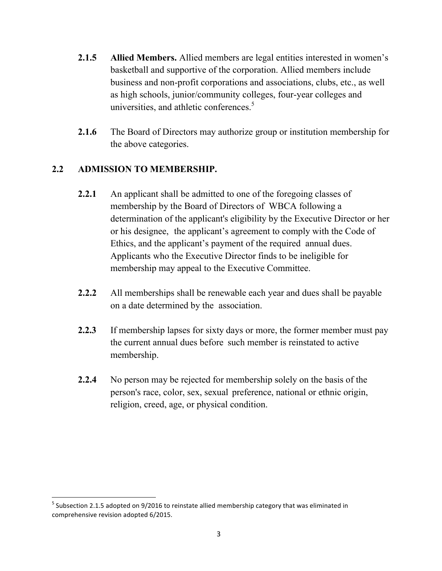- **2.1.5 Allied Members.** Allied members are legal entities interested in women's basketball and supportive of the corporation. Allied members include business and non-profit corporations and associations, clubs, etc., as well as high schools, junior/community colleges, four-year colleges and universities, and athletic conferences.<sup>5</sup>
- **2.1.6** The Board of Directors may authorize group or institution membership for the above categories.

#### **2.2 ADMISSION TO MEMBERSHIP.**

- **2.2.1** An applicant shall be admitted to one of the foregoing classes of membership by the Board of Directors of WBCA following a determination of the applicant's eligibility by the Executive Director or her or his designee, the applicant's agreement to comply with the Code of Ethics, and the applicant's payment of the required annual dues. Applicants who the Executive Director finds to be ineligible for membership may appeal to the Executive Committee.
- **2.2.2** All memberships shall be renewable each year and dues shall be payable on a date determined by the association.
- **2.2.3** If membership lapses for sixty days or more, the former member must pay the current annual dues before such member is reinstated to active membership.
- **2.2.4** No person may be rejected for membership solely on the basis of the person's race, color, sex, sexual preference, national or ethnic origin, religion, creed, age, or physical condition.

 $<sup>5</sup>$  Subsection 2.1.5 adopted on 9/2016 to reinstate allied membership category that was eliminated in</sup> comprehensive revision adopted 6/2015.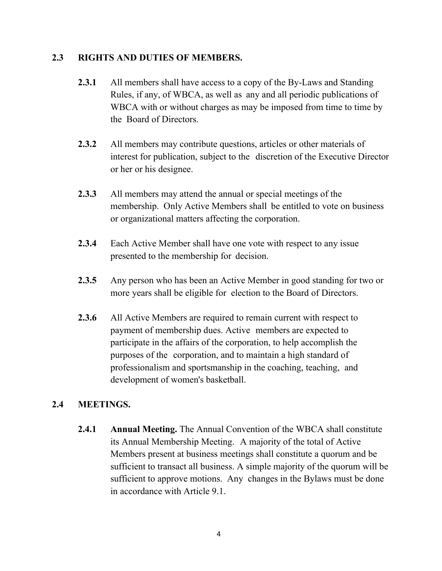#### **2.3 RIGHTS AND DUTIES OF MEMBERS.**

- **2.3.1** All members shall have access to a copy of the By-Laws and Standing Rules, if any, of WBCA, as well as any and all periodic publications of WBCA with or without charges as may be imposed from time to time by the Board of Directors.
- **2.3.2** All members may contribute questions, articles or other materials of interest for publication, subject to the discretion of the Executive Director or her or his designee.
- **2.3.3** All members may attend the annual or special meetings of the membership. Only Active Members shall be entitled to vote on business or organizational matters affecting the corporation.
- **2.3.4** Each Active Member shall have one vote with respect to any issue presented to the membership for decision.
- **2.3.5** Any person who has been an Active Member in good standing for two or more years shall be eligible for election to the Board of Directors.
- **2.3.6** All Active Members are required to remain current with respect to payment of membership dues. Active members are expected to participate in the affairs of the corporation, to help accomplish the purposes of the corporation, and to maintain a high standard of professionalism and sportsmanship in the coaching, teaching, and development of women's basketball.

### **2.4 MEETINGS.**

**2.4.1 Annual Meeting.** The Annual Convention of the WBCA shall constitute its Annual Membership Meeting. A majority of the total of Active Members present at business meetings shall constitute a quorum and be sufficient to transact all business. A simple majority of the quorum will be sufficient to approve motions. Any changes in the Bylaws must be done in accordance with Article 9.1.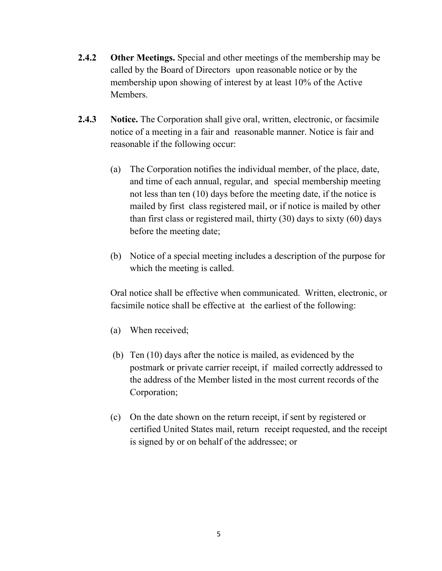- **2.4.2 Other Meetings.** Special and other meetings of the membership may be called by the Board of Directors upon reasonable notice or by the membership upon showing of interest by at least 10% of the Active Members.
- **2.4.3 Notice.** The Corporation shall give oral, written, electronic, or facsimile notice of a meeting in a fair and reasonable manner. Notice is fair and reasonable if the following occur:
	- (a) The Corporation notifies the individual member, of the place, date, and time of each annual, regular, and special membership meeting not less than ten (10) days before the meeting date, if the notice is mailed by first class registered mail, or if notice is mailed by other than first class or registered mail, thirty (30) days to sixty (60) days before the meeting date;
	- (b) Notice of a special meeting includes a description of the purpose for which the meeting is called.

Oral notice shall be effective when communicated. Written, electronic, or facsimile notice shall be effective at the earliest of the following:

- (a) When received;
- (b) Ten (10) days after the notice is mailed, as evidenced by the postmark or private carrier receipt, if mailed correctly addressed to the address of the Member listed in the most current records of the Corporation;
- (c) On the date shown on the return receipt, if sent by registered or certified United States mail, return receipt requested, and the receipt is signed by or on behalf of the addressee; or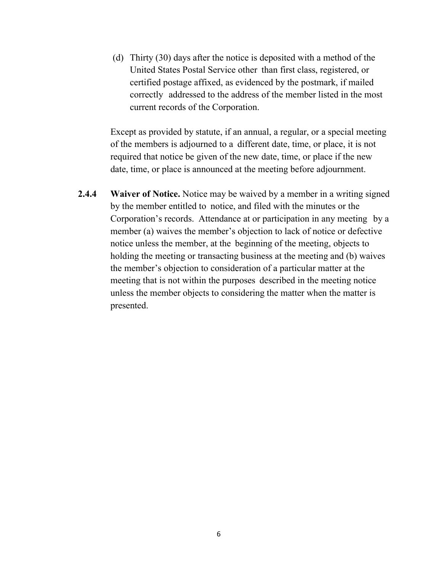(d) Thirty (30) days after the notice is deposited with a method of the United States Postal Service other than first class, registered, or certified postage affixed, as evidenced by the postmark, if mailed correctly addressed to the address of the member listed in the most current records of the Corporation.

Except as provided by statute, if an annual, a regular, or a special meeting of the members is adjourned to a different date, time, or place, it is not required that notice be given of the new date, time, or place if the new date, time, or place is announced at the meeting before adjournment.

**2.4.4 Waiver of Notice.** Notice may be waived by a member in a writing signed by the member entitled to notice, and filed with the minutes or the Corporation's records. Attendance at or participation in any meeting by a member (a) waives the member's objection to lack of notice or defective notice unless the member, at the beginning of the meeting, objects to holding the meeting or transacting business at the meeting and (b) waives the member's objection to consideration of a particular matter at the meeting that is not within the purposes described in the meeting notice unless the member objects to considering the matter when the matter is presented.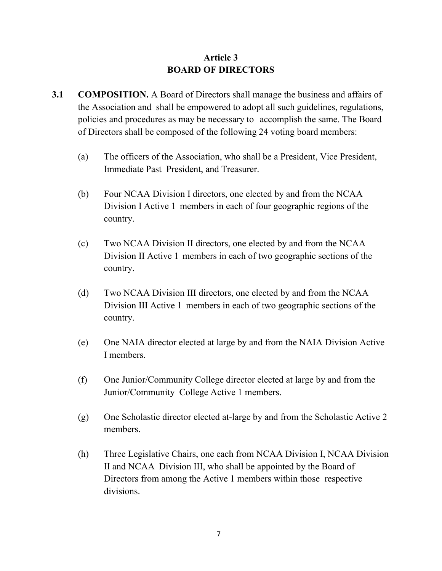## **Article 3 BOARD OF DIRECTORS**

- **3.1 COMPOSITION.** A Board of Directors shall manage the business and affairs of the Association and shall be empowered to adopt all such guidelines, regulations, policies and procedures as may be necessary to accomplish the same. The Board of Directors shall be composed of the following 24 voting board members:
	- (a) The officers of the Association, who shall be a President, Vice President, Immediate Past President, and Treasurer.
	- (b) Four NCAA Division I directors, one elected by and from the NCAA Division I Active 1 members in each of four geographic regions of the country.
	- (c) Two NCAA Division II directors, one elected by and from the NCAA Division II Active 1 members in each of two geographic sections of the country.
	- (d) Two NCAA Division III directors, one elected by and from the NCAA Division III Active 1 members in each of two geographic sections of the country.
	- (e) One NAIA director elected at large by and from the NAIA Division Active I members.
	- (f) One Junior/Community College director elected at large by and from the Junior/Community College Active 1 members.
	- (g) One Scholastic director elected at-large by and from the Scholastic Active 2 members.
	- (h) Three Legislative Chairs, one each from NCAA Division I, NCAA Division II and NCAA Division III, who shall be appointed by the Board of Directors from among the Active 1 members within those respective divisions.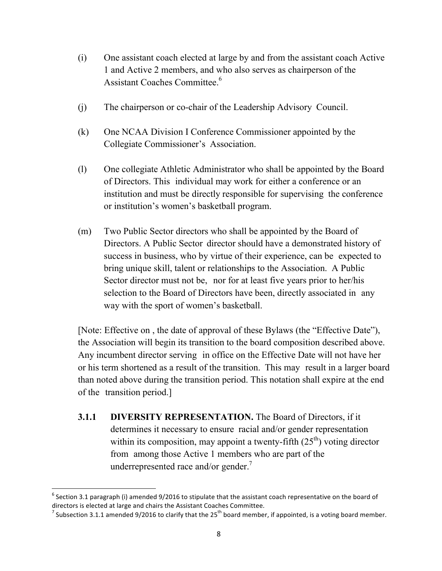- (i) One assistant coach elected at large by and from the assistant coach Active 1 and Active 2 members, and who also serves as chairperson of the Assistant Coaches Committee.<sup>6</sup>
- (j) The chairperson or co-chair of the Leadership Advisory Council.
- (k) One NCAA Division I Conference Commissioner appointed by the Collegiate Commissioner's Association.
- (l) One collegiate Athletic Administrator who shall be appointed by the Board of Directors. This individual may work for either a conference or an institution and must be directly responsible for supervising the conference or institution's women's basketball program.
- (m) Two Public Sector directors who shall be appointed by the Board of Directors. A Public Sector director should have a demonstrated history of success in business, who by virtue of their experience, can be expected to bring unique skill, talent or relationships to the Association. A Public Sector director must not be, nor for at least five years prior to her/his selection to the Board of Directors have been, directly associated in any way with the sport of women's basketball.

[Note: Effective on , the date of approval of these Bylaws (the "Effective Date"), the Association will begin its transition to the board composition described above. Any incumbent director serving in office on the Effective Date will not have her or his term shortened as a result of the transition. This may result in a larger board than noted above during the transition period. This notation shall expire at the end of the transition period.]

**3.1.1 DIVERSITY REPRESENTATION.** The Board of Directors, if it determines it necessary to ensure racial and/or gender representation within its composition, may appoint a twenty-fifth  $(25<sup>th</sup>)$  voting director from among those Active 1 members who are part of the underrepresented race and/or gender.<sup>7</sup>

 $^6$  Section 3.1 paragraph (i) amended 9/2016 to stipulate that the assistant coach representative on the board of directors is elected at large and chairs the Assistant Coaches Committee.

<sup>&</sup>lt;sup>7</sup> Subsection 3.1.1 amended 9/2016 to clarify that the 25<sup>th</sup> board member, if appointed, is a voting board member.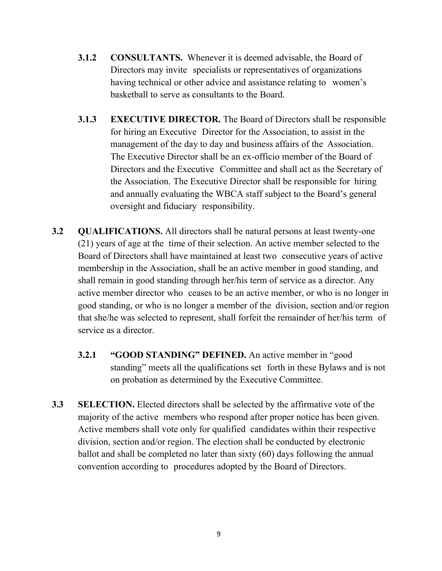- **3.1.2 CONSULTANTS.** Whenever it is deemed advisable, the Board of Directors may invite specialists or representatives of organizations having technical or other advice and assistance relating to women's basketball to serve as consultants to the Board.
- **3.1.3 EXECUTIVE DIRECTOR.** The Board of Directors shall be responsible for hiring an Executive Director for the Association, to assist in the management of the day to day and business affairs of the Association. The Executive Director shall be an ex-officio member of the Board of Directors and the Executive Committee and shall act as the Secretary of the Association. The Executive Director shall be responsible for hiring and annually evaluating the WBCA staff subject to the Board's general oversight and fiduciary responsibility.
- **3.2 QUALIFICATIONS.** All directors shall be natural persons at least twenty-one (21) years of age at the time of their selection. An active member selected to the Board of Directors shall have maintained at least two consecutive years of active membership in the Association, shall be an active member in good standing, and shall remain in good standing through her/his term of service as a director. Any active member director who ceases to be an active member, or who is no longer in good standing, or who is no longer a member of the division, section and/or region that she/he was selected to represent, shall forfeit the remainder of her/his term of service as a director.
	- **3.2.1 "GOOD STANDING" DEFINED.** An active member in "good standing" meets all the qualifications set forth in these Bylaws and is not on probation as determined by the Executive Committee.
- **3.3 SELECTION.** Elected directors shall be selected by the affirmative vote of the majority of the active members who respond after proper notice has been given. Active members shall vote only for qualified candidates within their respective division, section and/or region. The election shall be conducted by electronic ballot and shall be completed no later than sixty (60) days following the annual convention according to procedures adopted by the Board of Directors.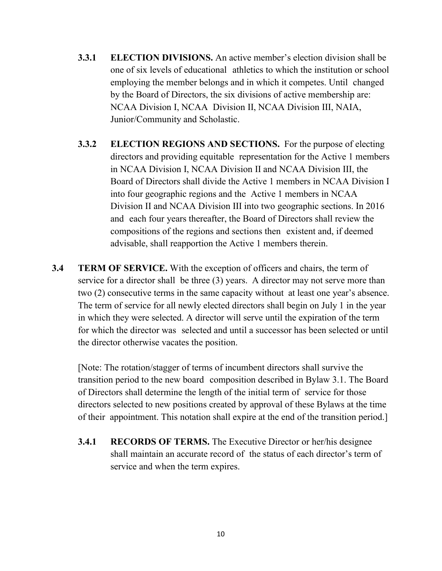- **3.3.1 ELECTION DIVISIONS.** An active member's election division shall be one of six levels of educational athletics to which the institution or school employing the member belongs and in which it competes. Until changed by the Board of Directors, the six divisions of active membership are: NCAA Division I, NCAA Division II, NCAA Division III, NAIA, Junior/Community and Scholastic.
- **3.3.2 ELECTION REGIONS AND SECTIONS.** For the purpose of electing directors and providing equitable representation for the Active 1 members in NCAA Division I, NCAA Division II and NCAA Division III, the Board of Directors shall divide the Active 1 members in NCAA Division I into four geographic regions and the Active 1 members in NCAA Division II and NCAA Division III into two geographic sections. In 2016 and each four years thereafter, the Board of Directors shall review the compositions of the regions and sections then existent and, if deemed advisable, shall reapportion the Active 1 members therein.
- **3.4 TERM OF SERVICE.** With the exception of officers and chairs, the term of service for a director shall be three (3) years. A director may not serve more than two (2) consecutive terms in the same capacity without at least one year's absence. The term of service for all newly elected directors shall begin on July 1 in the year in which they were selected. A director will serve until the expiration of the term for which the director was selected and until a successor has been selected or until the director otherwise vacates the position.

[Note: The rotation/stagger of terms of incumbent directors shall survive the transition period to the new board composition described in Bylaw 3.1. The Board of Directors shall determine the length of the initial term of service for those directors selected to new positions created by approval of these Bylaws at the time of their appointment. This notation shall expire at the end of the transition period.]

**3.4.1 RECORDS OF TERMS.** The Executive Director or her/his designee shall maintain an accurate record of the status of each director's term of service and when the term expires.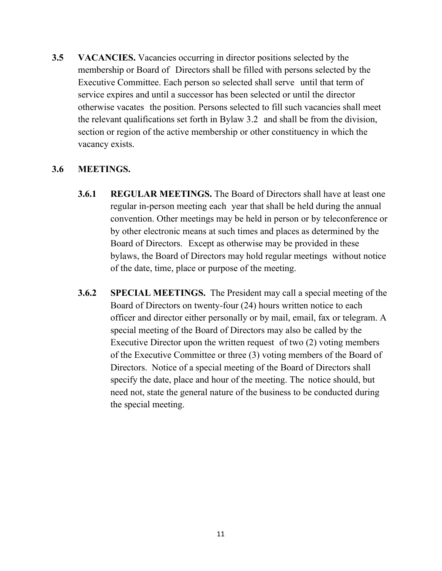**3.5 VACANCIES.** Vacancies occurring in director positions selected by the membership or Board of Directors shall be filled with persons selected by the Executive Committee. Each person so selected shall serve until that term of service expires and until a successor has been selected or until the director otherwise vacates the position. Persons selected to fill such vacancies shall meet the relevant qualifications set forth in Bylaw 3.2 and shall be from the division, section or region of the active membership or other constituency in which the vacancy exists.

#### **3.6 MEETINGS.**

- **3.6.1 REGULAR MEETINGS.** The Board of Directors shall have at least one regular in-person meeting each year that shall be held during the annual convention. Other meetings may be held in person or by teleconference or by other electronic means at such times and places as determined by the Board of Directors. Except as otherwise may be provided in these bylaws, the Board of Directors may hold regular meetings without notice of the date, time, place or purpose of the meeting.
- **3.6.2 SPECIAL MEETINGS.** The President may call a special meeting of the Board of Directors on twenty-four (24) hours written notice to each officer and director either personally or by mail, email, fax or telegram. A special meeting of the Board of Directors may also be called by the Executive Director upon the written request of two (2) voting members of the Executive Committee or three (3) voting members of the Board of Directors. Notice of a special meeting of the Board of Directors shall specify the date, place and hour of the meeting. The notice should, but need not, state the general nature of the business to be conducted during the special meeting.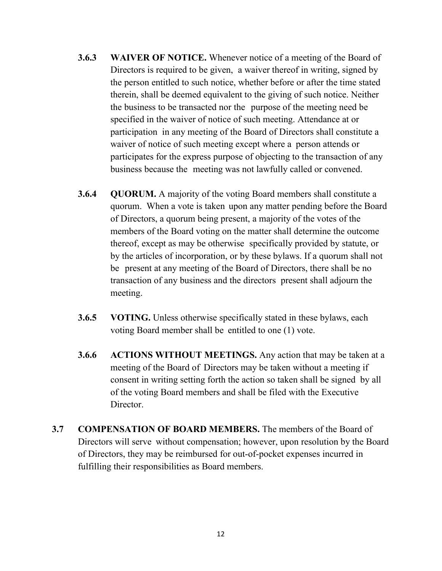- **3.6.3 WAIVER OF NOTICE.** Whenever notice of a meeting of the Board of Directors is required to be given, a waiver thereof in writing, signed by the person entitled to such notice, whether before or after the time stated therein, shall be deemed equivalent to the giving of such notice. Neither the business to be transacted nor the purpose of the meeting need be specified in the waiver of notice of such meeting. Attendance at or participation in any meeting of the Board of Directors shall constitute a waiver of notice of such meeting except where a person attends or participates for the express purpose of objecting to the transaction of any business because the meeting was not lawfully called or convened.
- **3.6.4 QUORUM.** A majority of the voting Board members shall constitute a quorum. When a vote is taken upon any matter pending before the Board of Directors, a quorum being present, a majority of the votes of the members of the Board voting on the matter shall determine the outcome thereof, except as may be otherwise specifically provided by statute, or by the articles of incorporation, or by these bylaws. If a quorum shall not be present at any meeting of the Board of Directors, there shall be no transaction of any business and the directors present shall adjourn the meeting.
- **3.6.5 VOTING.** Unless otherwise specifically stated in these bylaws, each voting Board member shall be entitled to one (1) vote.
- **3.6.6 ACTIONS WITHOUT MEETINGS.** Any action that may be taken at a meeting of the Board of Directors may be taken without a meeting if consent in writing setting forth the action so taken shall be signed by all of the voting Board members and shall be filed with the Executive Director.
- **3.7 COMPENSATION OF BOARD MEMBERS.** The members of the Board of Directors will serve without compensation; however, upon resolution by the Board of Directors, they may be reimbursed for out-of-pocket expenses incurred in fulfilling their responsibilities as Board members.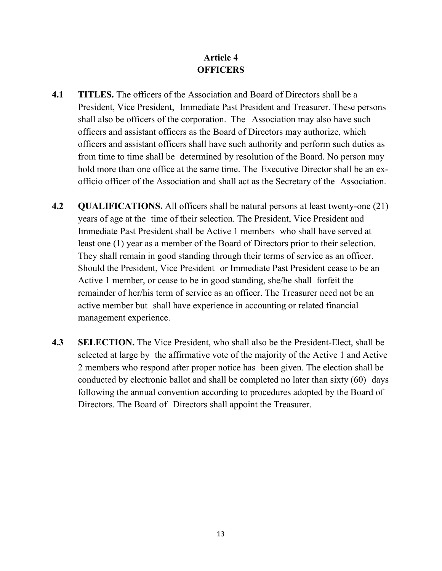# **Article 4 OFFICERS**

- **4.1 TITLES.** The officers of the Association and Board of Directors shall be a President, Vice President, Immediate Past President and Treasurer. These persons shall also be officers of the corporation. The Association may also have such officers and assistant officers as the Board of Directors may authorize, which officers and assistant officers shall have such authority and perform such duties as from time to time shall be determined by resolution of the Board. No person may hold more than one office at the same time. The Executive Director shall be an exofficio officer of the Association and shall act as the Secretary of the Association.
- **4.2 QUALIFICATIONS.** All officers shall be natural persons at least twenty-one (21) years of age at the time of their selection. The President, Vice President and Immediate Past President shall be Active 1 members who shall have served at least one (1) year as a member of the Board of Directors prior to their selection. They shall remain in good standing through their terms of service as an officer. Should the President, Vice President or Immediate Past President cease to be an Active 1 member, or cease to be in good standing, she/he shall forfeit the remainder of her/his term of service as an officer. The Treasurer need not be an active member but shall have experience in accounting or related financial management experience.
- **4.3 SELECTION.** The Vice President, who shall also be the President-Elect, shall be selected at large by the affirmative vote of the majority of the Active 1 and Active 2 members who respond after proper notice has been given. The election shall be conducted by electronic ballot and shall be completed no later than sixty (60) days following the annual convention according to procedures adopted by the Board of Directors. The Board of Directors shall appoint the Treasurer.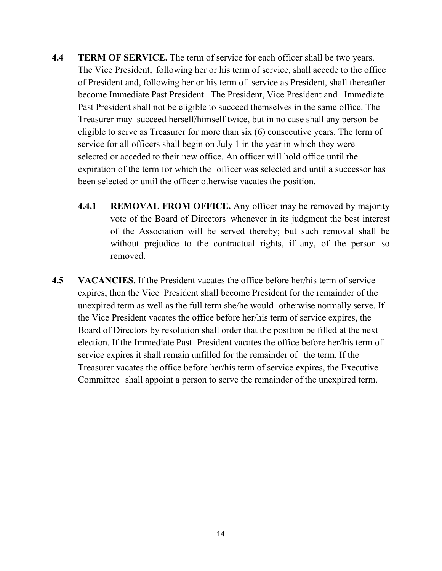- **4.4 TERM OF SERVICE.** The term of service for each officer shall be two years. The Vice President, following her or his term of service, shall accede to the office of President and, following her or his term of service as President, shall thereafter become Immediate Past President. The President, Vice President and Immediate Past President shall not be eligible to succeed themselves in the same office. The Treasurer may succeed herself/himself twice, but in no case shall any person be eligible to serve as Treasurer for more than six (6) consecutive years. The term of service for all officers shall begin on July 1 in the year in which they were selected or acceded to their new office. An officer will hold office until the expiration of the term for which the officer was selected and until a successor has been selected or until the officer otherwise vacates the position.
	- **4.4.1 REMOVAL FROM OFFICE.** Any officer may be removed by majority vote of the Board of Directors whenever in its judgment the best interest of the Association will be served thereby; but such removal shall be without prejudice to the contractual rights, if any, of the person so removed.
- **4.5 VACANCIES.** If the President vacates the office before her/his term of service expires, then the Vice President shall become President for the remainder of the unexpired term as well as the full term she/he would otherwise normally serve. If the Vice President vacates the office before her/his term of service expires, the Board of Directors by resolution shall order that the position be filled at the next election. If the Immediate Past President vacates the office before her/his term of service expires it shall remain unfilled for the remainder of the term. If the Treasurer vacates the office before her/his term of service expires, the Executive Committee shall appoint a person to serve the remainder of the unexpired term.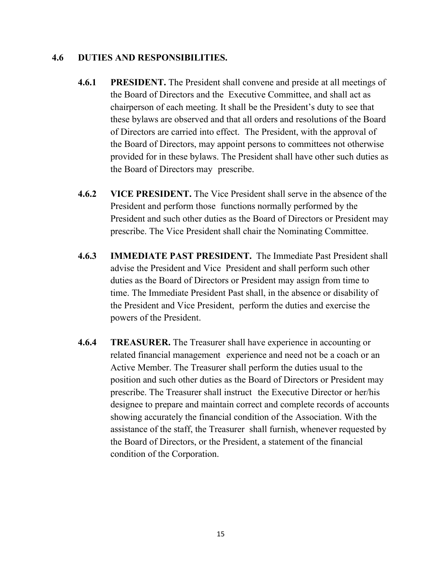#### **4.6 DUTIES AND RESPONSIBILITIES.**

- **4.6.1 PRESIDENT.** The President shall convene and preside at all meetings of the Board of Directors and the Executive Committee, and shall act as chairperson of each meeting. It shall be the President's duty to see that these bylaws are observed and that all orders and resolutions of the Board of Directors are carried into effect. The President, with the approval of the Board of Directors, may appoint persons to committees not otherwise provided for in these bylaws. The President shall have other such duties as the Board of Directors may prescribe.
- **4.6.2 VICE PRESIDENT.** The Vice President shall serve in the absence of the President and perform those functions normally performed by the President and such other duties as the Board of Directors or President may prescribe. The Vice President shall chair the Nominating Committee.
- **4.6.3 IMMEDIATE PAST PRESIDENT.** The Immediate Past President shall advise the President and Vice President and shall perform such other duties as the Board of Directors or President may assign from time to time. The Immediate President Past shall, in the absence or disability of the President and Vice President, perform the duties and exercise the powers of the President.
- **4.6.4 TREASURER.** The Treasurer shall have experience in accounting or related financial management experience and need not be a coach or an Active Member. The Treasurer shall perform the duties usual to the position and such other duties as the Board of Directors or President may prescribe. The Treasurer shall instruct the Executive Director or her/his designee to prepare and maintain correct and complete records of accounts showing accurately the financial condition of the Association. With the assistance of the staff, the Treasurer shall furnish, whenever requested by the Board of Directors, or the President, a statement of the financial condition of the Corporation.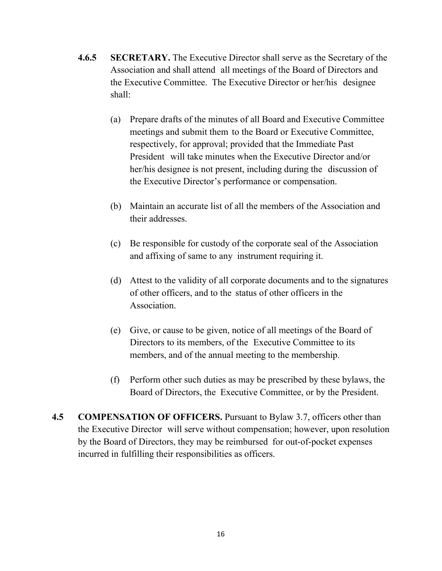- **4.6.5 SECRETARY.** The Executive Director shall serve as the Secretary of the Association and shall attend all meetings of the Board of Directors and the Executive Committee. The Executive Director or her/his designee shall:
	- (a) Prepare drafts of the minutes of all Board and Executive Committee meetings and submit them to the Board or Executive Committee, respectively, for approval; provided that the Immediate Past President will take minutes when the Executive Director and/or her/his designee is not present, including during the discussion of the Executive Director's performance or compensation.
	- (b) Maintain an accurate list of all the members of the Association and their addresses.
	- (c) Be responsible for custody of the corporate seal of the Association and affixing of same to any instrument requiring it.
	- (d) Attest to the validity of all corporate documents and to the signatures of other officers, and to the status of other officers in the Association.
	- (e) Give, or cause to be given, notice of all meetings of the Board of Directors to its members, of the Executive Committee to its members, and of the annual meeting to the membership.
	- (f) Perform other such duties as may be prescribed by these bylaws, the Board of Directors, the Executive Committee, or by the President.
- **4.5 COMPENSATION OF OFFICERS.** Pursuant to Bylaw 3.7, officers other than the Executive Director will serve without compensation; however, upon resolution by the Board of Directors, they may be reimbursed for out-of-pocket expenses incurred in fulfilling their responsibilities as officers.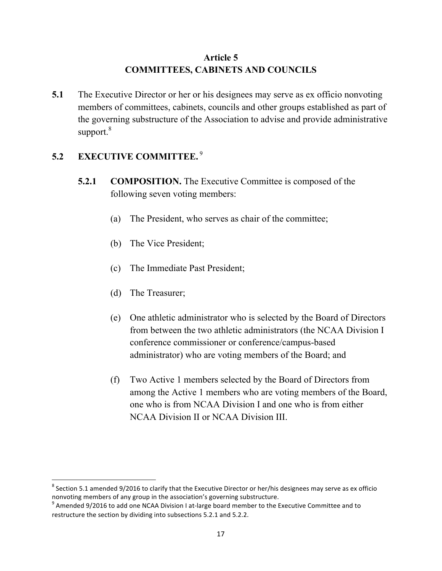## **Article 5 COMMITTEES, CABINETS AND COUNCILS**

**5.1** The Executive Director or her or his designees may serve as ex officio nonvoting members of committees, cabinets, councils and other groups established as part of the governing substructure of the Association to advise and provide administrative support.<sup>8</sup>

## **5.2 EXECUTIVE COMMITTEE.** <sup>9</sup>

- **5.2.1 COMPOSITION.** The Executive Committee is composed of the following seven voting members:
	- (a) The President, who serves as chair of the committee;
	- (b) The Vice President;
	- (c) The Immediate Past President;
	- (d) The Treasurer;

- (e) One athletic administrator who is selected by the Board of Directors from between the two athletic administrators (the NCAA Division I conference commissioner or conference/campus-based administrator) who are voting members of the Board; and
- (f) Two Active 1 members selected by the Board of Directors from among the Active 1 members who are voting members of the Board, one who is from NCAA Division I and one who is from either NCAA Division II or NCAA Division III.

 $8$  Section 5.1 amended 9/2016 to clarify that the Executive Director or her/his designees may serve as ex officio nonvoting members of any group in the association's governing substructure.<br>
<sup>9</sup> Amended 9/2016 to add one NCAA Division I at-large board member to the Executive Committee and to

restructure the section by dividing into subsections 5.2.1 and 5.2.2.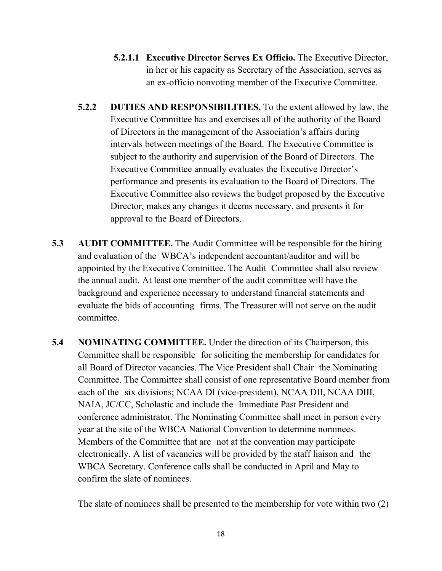- **5.2.1.1 Executive Director Serves Ex Officio.** The Executive Director, in her or his capacity as Secretary of the Association, serves as an ex-officio nonvoting member of the Executive Committee.
- **5.2.2 DUTIES AND RESPONSIBILITIES.** To the extent allowed by law, the Executive Committee has and exercises all of the authority of the Board of Directors in the management of the Association's affairs during intervals between meetings of the Board. The Executive Committee is subject to the authority and supervision of the Board of Directors. The Executive Committee annually evaluates the Executive Director's performance and presents its evaluation to the Board of Directors. The Executive Committee also reviews the budget proposed by the Executive Director, makes any changes it deems necessary, and presents it for approval to the Board of Directors.
- **5.3 AUDIT COMMITTEE.** The Audit Committee will be responsible for the hiring and evaluation of the WBCA's independent accountant/auditor and will be appointed by the Executive Committee. The Audit Committee shall also review the annual audit. At least one member of the audit committee will have the background and experience necessary to understand financial statements and evaluate the bids of accounting firms. The Treasurer will not serve on the audit committee.
- **5.4 NOMINATING COMMITTEE.** Under the direction of its Chairperson, this Committee shall be responsible for soliciting the membership for candidates for all Board of Director vacancies. The Vice President shall Chair the Nominating Committee. The Committee shall consist of one representative Board member from each of the six divisions; NCAA DI (vice-president), NCAA DII, NCAA DIII, NAIA, JC/CC, Scholastic and include the Immediate Past President and conference administrator. The Nominating Committee shall meet in person every year at the site of the WBCA National Convention to determine nominees. Members of the Committee that are not at the convention may participate electronically. A list of vacancies will be provided by the staff liaison and the WBCA Secretary. Conference calls shall be conducted in April and May to confirm the slate of nominees.

The slate of nominees shall be presented to the membership for vote within two (2)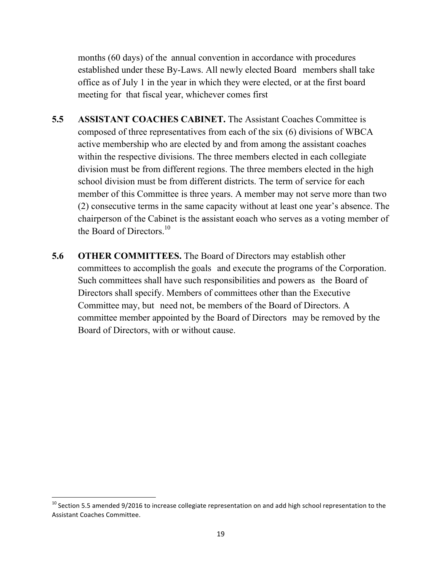months (60 days) of the annual convention in accordance with procedures established under these By-Laws. All newly elected Board members shall take office as of July 1 in the year in which they were elected, or at the first board meeting for that fiscal year, whichever comes first

- **5.5 ASSISTANT COACHES CABINET.** The Assistant Coaches Committee is composed of three representatives from each of the six (6) divisions of WBCA active membership who are elected by and from among the assistant coaches within the respective divisions. The three members elected in each collegiate division must be from different regions. The three members elected in the high school division must be from different districts. The term of service for each member of this Committee is three years. A member may not serve more than two (2) consecutive terms in the same capacity without at least one year's absence. The chairperson of the Cabinet is the assistant coach who serves as a voting member of the Board of Directors<sup>10</sup>
- **5.6 OTHER COMMITTEES.** The Board of Directors may establish other committees to accomplish the goals and execute the programs of the Corporation. Such committees shall have such responsibilities and powers as the Board of Directors shall specify. Members of committees other than the Executive Committee may, but need not, be members of the Board of Directors. A committee member appointed by the Board of Directors may be removed by the Board of Directors, with or without cause.

 $10$  Section 5.5 amended 9/2016 to increase collegiate representation on and add high school representation to the Assistant Coaches Committee.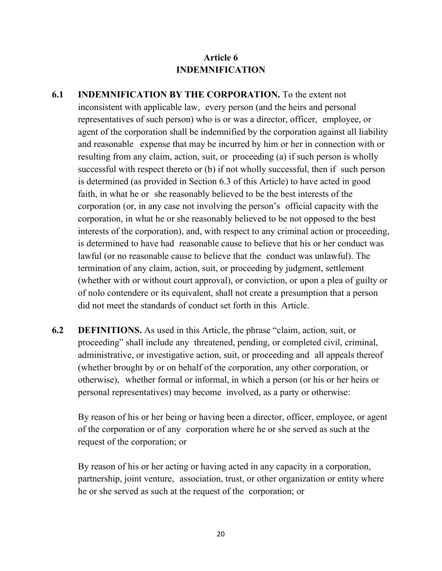# **Article 6 INDEMNIFICATION**

- **6.1 INDEMNIFICATION BY THE CORPORATION.** To the extent not inconsistent with applicable law, every person (and the heirs and personal representatives of such person) who is or was a director, officer, employee, or agent of the corporation shall be indemnified by the corporation against all liability and reasonable expense that may be incurred by him or her in connection with or resulting from any claim, action, suit, or proceeding (a) if such person is wholly successful with respect thereto or (b) if not wholly successful, then if such person is determined (as provided in Section 6.3 of this Article) to have acted in good faith, in what he or she reasonably believed to be the best interests of the corporation (or, in any case not involving the person's official capacity with the corporation, in what he or she reasonably believed to be not opposed to the best interests of the corporation), and, with respect to any criminal action or proceeding, is determined to have had reasonable cause to believe that his or her conduct was lawful (or no reasonable cause to believe that the conduct was unlawful). The termination of any claim, action, suit, or proceeding by judgment, settlement (whether with or without court approval), or conviction, or upon a plea of guilty or of nolo contendere or its equivalent, shall not create a presumption that a person did not meet the standards of conduct set forth in this Article.
- **6.2 DEFINITIONS.** As used in this Article, the phrase "claim, action, suit, or proceeding" shall include any threatened, pending, or completed civil, criminal, administrative, or investigative action, suit, or proceeding and all appeals thereof (whether brought by or on behalf of the corporation, any other corporation, or otherwise), whether formal or informal, in which a person (or his or her heirs or personal representatives) may become involved, as a party or otherwise:

By reason of his or her being or having been a director, officer, employee, or agent of the corporation or of any corporation where he or she served as such at the request of the corporation; or

By reason of his or her acting or having acted in any capacity in a corporation, partnership, joint venture, association, trust, or other organization or entity where he or she served as such at the request of the corporation; or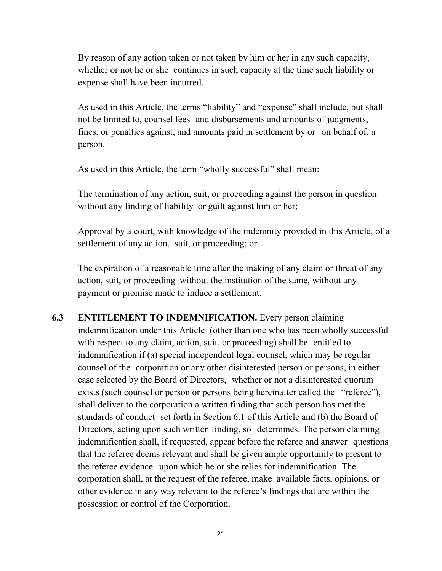By reason of any action taken or not taken by him or her in any such capacity, whether or not he or she continues in such capacity at the time such liability or expense shall have been incurred.

As used in this Article, the terms "liability" and "expense" shall include, but shall not be limited to, counsel fees and disbursements and amounts of judgments, fines, or penalties against, and amounts paid in settlement by or on behalf of, a person.

As used in this Article, the term "wholly successful" shall mean:

The termination of any action, suit, or proceeding against the person in question without any finding of liability or guilt against him or her;

Approval by a court, with knowledge of the indemnity provided in this Article, of a settlement of any action, suit, or proceeding; or

The expiration of a reasonable time after the making of any claim or threat of any action, suit, or proceeding without the institution of the same, without any payment or promise made to induce a settlement.

**6.3 ENTITLEMENT TO INDEMNIFICATION.** Every person claiming indemnification under this Article (other than one who has been wholly successful with respect to any claim, action, suit, or proceeding) shall be entitled to indemnification if (a) special independent legal counsel, which may be regular counsel of the corporation or any other disinterested person or persons, in either case selected by the Board of Directors, whether or not a disinterested quorum exists (such counsel or person or persons being hereinafter called the "referee"), shall deliver to the corporation a written finding that such person has met the standards of conduct set forth in Section 6.1 of this Article and (b) the Board of Directors, acting upon such written finding, so determines. The person claiming indemnification shall, if requested, appear before the referee and answer questions that the referee deems relevant and shall be given ample opportunity to present to the referee evidence upon which he or she relies for indemnification. The corporation shall, at the request of the referee, make available facts, opinions, or other evidence in any way relevant to the referee's findings that are within the possession or control of the Corporation.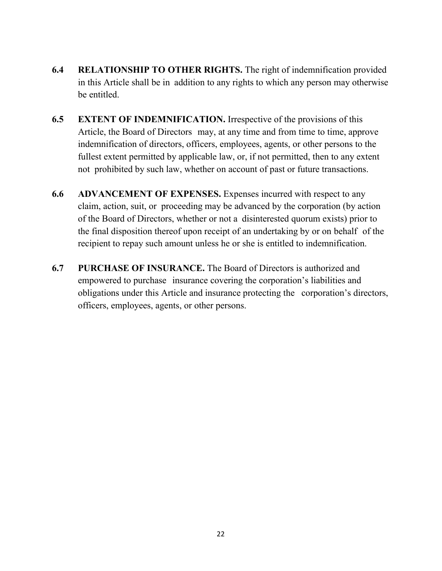- **6.4 RELATIONSHIP TO OTHER RIGHTS.** The right of indemnification provided in this Article shall be in addition to any rights to which any person may otherwise be entitled.
- **6.5 EXTENT OF INDEMNIFICATION.** Irrespective of the provisions of this Article, the Board of Directors may, at any time and from time to time, approve indemnification of directors, officers, employees, agents, or other persons to the fullest extent permitted by applicable law, or, if not permitted, then to any extent not prohibited by such law, whether on account of past or future transactions.
- **6.6 ADVANCEMENT OF EXPENSES.** Expenses incurred with respect to any claim, action, suit, or proceeding may be advanced by the corporation (by action of the Board of Directors, whether or not a disinterested quorum exists) prior to the final disposition thereof upon receipt of an undertaking by or on behalf of the recipient to repay such amount unless he or she is entitled to indemnification.
- **6.7 PURCHASE OF INSURANCE.** The Board of Directors is authorized and empowered to purchase insurance covering the corporation's liabilities and obligations under this Article and insurance protecting the corporation's directors, officers, employees, agents, or other persons.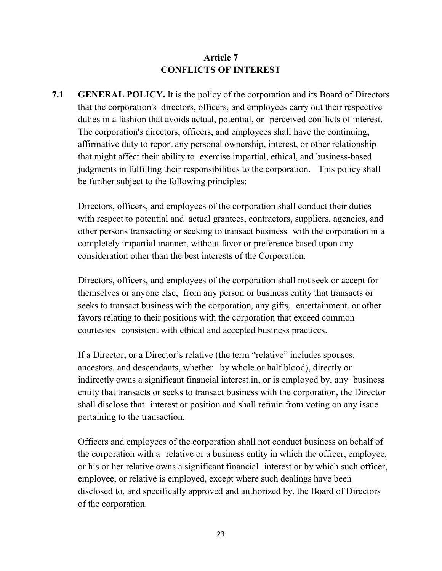## **Article 7 CONFLICTS OF INTEREST**

**7.1 GENERAL POLICY.** It is the policy of the corporation and its Board of Directors that the corporation's directors, officers, and employees carry out their respective duties in a fashion that avoids actual, potential, or perceived conflicts of interest. The corporation's directors, officers, and employees shall have the continuing, affirmative duty to report any personal ownership, interest, or other relationship that might affect their ability to exercise impartial, ethical, and business-based judgments in fulfilling their responsibilities to the corporation. This policy shall be further subject to the following principles:

Directors, officers, and employees of the corporation shall conduct their duties with respect to potential and actual grantees, contractors, suppliers, agencies, and other persons transacting or seeking to transact business with the corporation in a completely impartial manner, without favor or preference based upon any consideration other than the best interests of the Corporation.

Directors, officers, and employees of the corporation shall not seek or accept for themselves or anyone else, from any person or business entity that transacts or seeks to transact business with the corporation, any gifts, entertainment, or other favors relating to their positions with the corporation that exceed common courtesies consistent with ethical and accepted business practices.

If a Director, or a Director's relative (the term "relative" includes spouses, ancestors, and descendants, whether by whole or half blood), directly or indirectly owns a significant financial interest in, or is employed by, any business entity that transacts or seeks to transact business with the corporation, the Director shall disclose that interest or position and shall refrain from voting on any issue pertaining to the transaction.

Officers and employees of the corporation shall not conduct business on behalf of the corporation with a relative or a business entity in which the officer, employee, or his or her relative owns a significant financial interest or by which such officer, employee, or relative is employed, except where such dealings have been disclosed to, and specifically approved and authorized by, the Board of Directors of the corporation.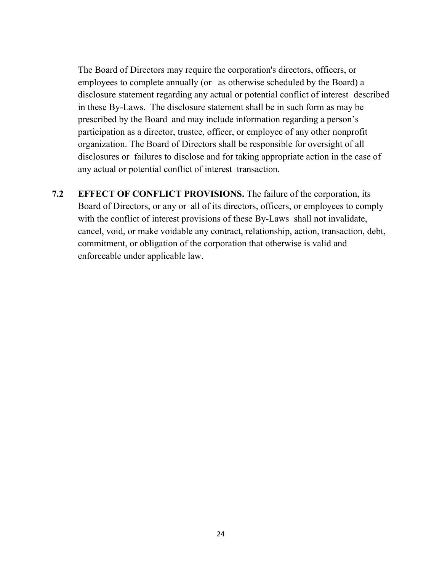The Board of Directors may require the corporation's directors, officers, or employees to complete annually (or as otherwise scheduled by the Board) a disclosure statement regarding any actual or potential conflict of interest described in these By-Laws. The disclosure statement shall be in such form as may be prescribed by the Board and may include information regarding a person's participation as a director, trustee, officer, or employee of any other nonprofit organization. The Board of Directors shall be responsible for oversight of all disclosures or failures to disclose and for taking appropriate action in the case of any actual or potential conflict of interest transaction.

**7.2 EFFECT OF CONFLICT PROVISIONS.** The failure of the corporation, its Board of Directors, or any or all of its directors, officers, or employees to comply with the conflict of interest provisions of these By-Laws shall not invalidate, cancel, void, or make voidable any contract, relationship, action, transaction, debt, commitment, or obligation of the corporation that otherwise is valid and enforceable under applicable law.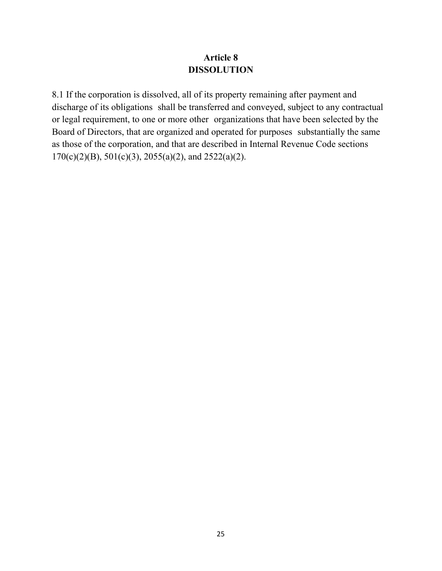## **Article 8 DISSOLUTION**

8.1 If the corporation is dissolved, all of its property remaining after payment and discharge of its obligations shall be transferred and conveyed, subject to any contractual or legal requirement, to one or more other organizations that have been selected by the Board of Directors, that are organized and operated for purposes substantially the same as those of the corporation, and that are described in Internal Revenue Code sections  $170(c)(2)(B)$ ,  $501(c)(3)$ ,  $2055(a)(2)$ , and  $2522(a)(2)$ .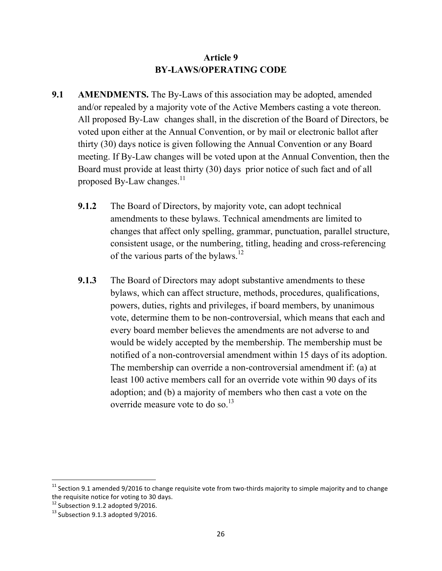## **Article 9 BY-LAWS/OPERATING CODE**

- **9.1 AMENDMENTS.** The By-Laws of this association may be adopted, amended and/or repealed by a majority vote of the Active Members casting a vote thereon. All proposed By-Law changes shall, in the discretion of the Board of Directors, be voted upon either at the Annual Convention, or by mail or electronic ballot after thirty (30) days notice is given following the Annual Convention or any Board meeting. If By-Law changes will be voted upon at the Annual Convention, then the Board must provide at least thirty (30) days prior notice of such fact and of all proposed By-Law changes. $^{11}$ 
	- **9.1.2** The Board of Directors, by majority vote, can adopt technical amendments to these bylaws. Technical amendments are limited to changes that affect only spelling, grammar, punctuation, parallel structure, consistent usage, or the numbering, titling, heading and cross-referencing of the various parts of the bylaws.<sup>12</sup>
	- **9.1.3** The Board of Directors may adopt substantive amendments to these bylaws, which can affect structure, methods, procedures, qualifications, powers, duties, rights and privileges, if board members, by unanimous vote, determine them to be non-controversial, which means that each and every board member believes the amendments are not adverse to and would be widely accepted by the membership. The membership must be notified of a non-controversial amendment within 15 days of its adoption. The membership can override a non-controversial amendment if: (a) at least 100 active members call for an override vote within 90 days of its adoption; and (b) a majority of members who then cast a vote on the override measure vote to do so. $^{13}$

 $11$  Section 9.1 amended 9/2016 to change requisite vote from two-thirds majority to simple majority and to change the requisite notice for voting to 30 days.<br> $12$  Subsection 9.1.2 adopted 9/2016.

 $13$  Subsection 9.1.3 adopted 9/2016.